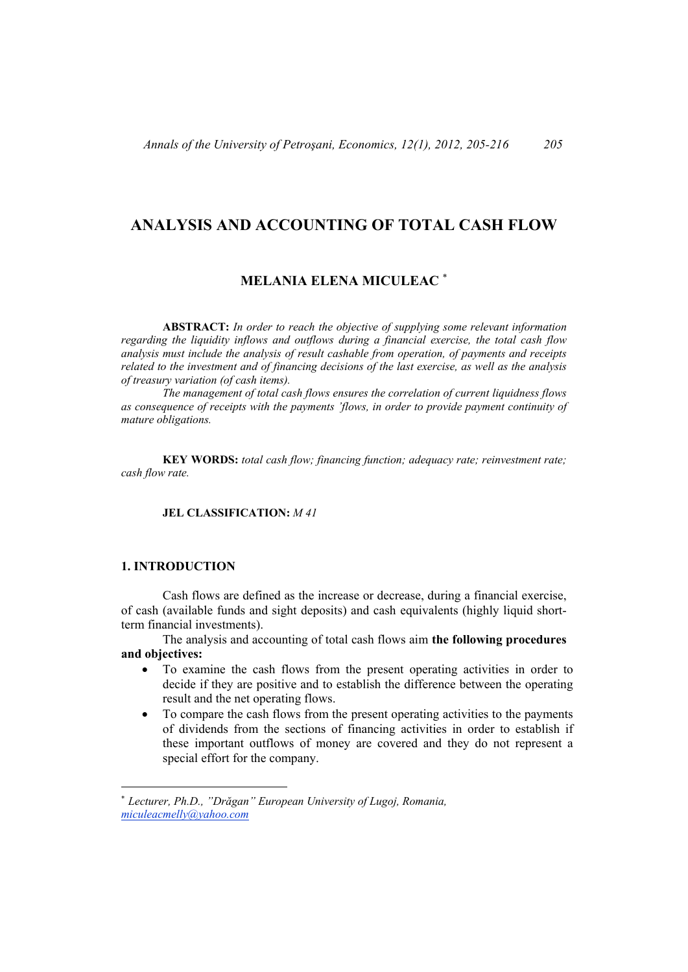# **ANALYSIS AND ACCOUNTING OF TOTAL CASH FLOW**

#### **MELANIA ELENA MICULEAC**

**ABSTRACT:** *In order to reach the objective of supplying some relevant information regarding the liquidity inflows and outflows during a financial exercise, the total cash flow analysis must include the analysis of result cashable from operation, of payments and receipts related to the investment and of financing decisions of the last exercise, as well as the analysis of treasury variation (of cash items).* 

*The management of total cash flows ensures the correlation of current liquidness flows as consequence of receipts with the payments 'flows, in order to provide payment continuity of mature obligations.* 

**KEY WORDS:** *total cash flow; financing function; adequacy rate; reinvestment rate; cash flow rate.* 

#### **JEL CLASSIFICATION:** *M 41*

## **1. INTRODUCTION**

 $\overline{a}$ 

Cash flows are defined as the increase or decrease, during a financial exercise, of cash (available funds and sight deposits) and cash equivalents (highly liquid shortterm financial investments).

The analysis and accounting of total cash flows aim **the following procedures and objectives:** 

- To examine the cash flows from the present operating activities in order to decide if they are positive and to establish the difference between the operating result and the net operating flows.
- To compare the cash flows from the present operating activities to the payments of dividends from the sections of financing activities in order to establish if these important outflows of money are covered and they do not represent a special effort for the company.

*Lecturer, Ph.D., "Drăgan" European University of Lugoj, Romania, miculeacmelly@yahoo.com*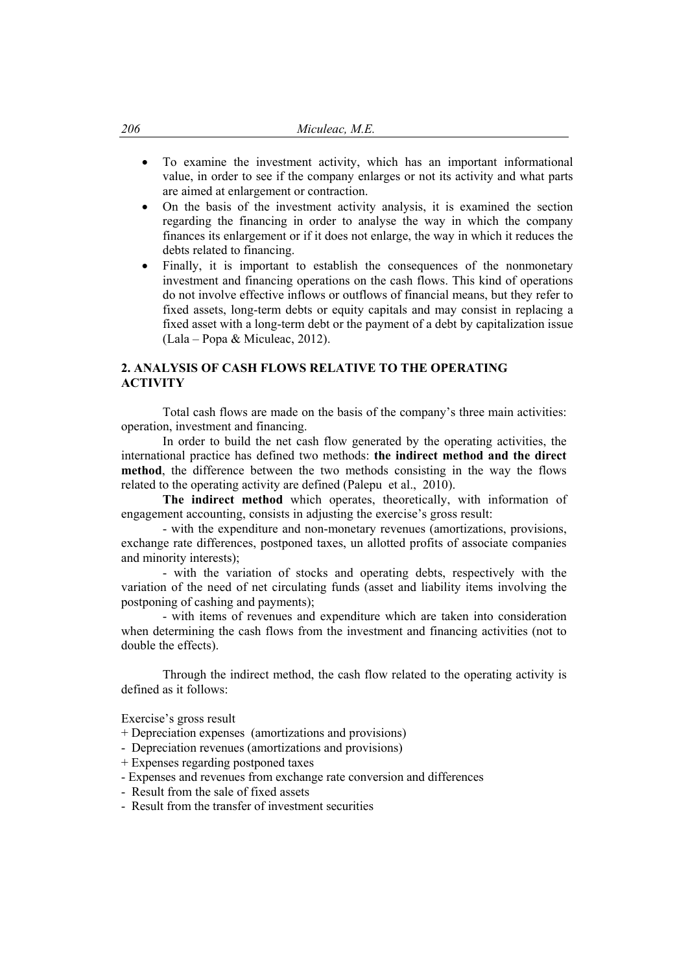- To examine the investment activity, which has an important informational value, in order to see if the company enlarges or not its activity and what parts are aimed at enlargement or contraction.
- On the basis of the investment activity analysis, it is examined the section regarding the financing in order to analyse the way in which the company finances its enlargement or if it does not enlarge, the way in which it reduces the debts related to financing.
- Finally, it is important to establish the consequences of the nonmonetary investment and financing operations on the cash flows. This kind of operations do not involve effective inflows or outflows of financial means, but they refer to fixed assets, long-term debts or equity capitals and may consist in replacing a fixed asset with a long-term debt or the payment of a debt by capitalization issue (Lala – Popa & Miculeac, 2012).

## **2. ANALYSIS OF CASH FLOWS RELATIVE TO THE OPERATING ACTIVITY**

Total cash flows are made on the basis of the company's three main activities: operation, investment and financing.

 In order to build the net cash flow generated by the operating activities, the international practice has defined two methods: **the indirect method and the direct method**, the difference between the two methods consisting in the way the flows related to the operating activity are defined (Palepu et al., 2010).

**The indirect method** which operates, theoretically, with information of engagement accounting, consists in adjusting the exercise's gross result:

 - with the expenditure and non-monetary revenues (amortizations, provisions, exchange rate differences, postponed taxes, un allotted profits of associate companies and minority interests);

- with the variation of stocks and operating debts, respectively with the variation of the need of net circulating funds (asset and liability items involving the postponing of cashing and payments);

- with items of revenues and expenditure which are taken into consideration when determining the cash flows from the investment and financing activities (not to double the effects).

 Through the indirect method, the cash flow related to the operating activity is defined as it follows:

Exercise's gross result

- + Depreciation expenses (amortizations and provisions)
- Depreciation revenues (amortizations and provisions)
- + Expenses regarding postponed taxes
- Expenses and revenues from exchange rate conversion and differences
- Result from the sale of fixed assets
- Result from the transfer of investment securities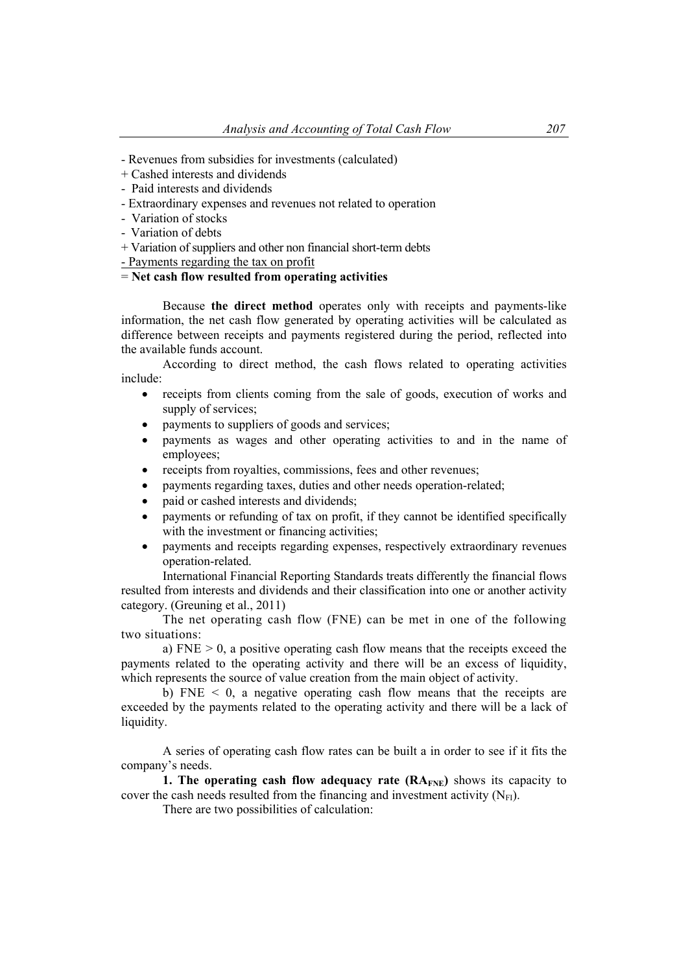- Revenues from subsidies for investments (calculated)
- + Cashed interests and dividends
- Paid interests and dividends
- Extraordinary expenses and revenues not related to operation
- Variation of stocks
- Variation of debts
- + Variation of suppliers and other non financial short-term debts
- Payments regarding the tax on profit

### = **Net cash flow resulted from operating activities**

Because **the direct method** operates only with receipts and payments-like information, the net cash flow generated by operating activities will be calculated as difference between receipts and payments registered during the period, reflected into the available funds account.

According to direct method, the cash flows related to operating activities include:

- receipts from clients coming from the sale of goods, execution of works and supply of services;
- payments to suppliers of goods and services;
- payments as wages and other operating activities to and in the name of employees;
- receipts from royalties, commissions, fees and other revenues;
- payments regarding taxes, duties and other needs operation-related;
- paid or cashed interests and dividends;
- payments or refunding of tax on profit, if they cannot be identified specifically with the investment or financing activities;
- payments and receipts regarding expenses, respectively extraordinary revenues operation-related.

International Financial Reporting Standards treats differently the financial flows resulted from interests and dividends and their classification into one or another activity category. (Greuning et al., 2011)

The net operating cash flow (FNE) can be met in one of the following two situations:

a) FNE  $> 0$ , a positive operating cash flow means that the receipts exceed the payments related to the operating activity and there will be an excess of liquidity, which represents the source of value creation from the main object of activity.

b)  $FNE < 0$ , a negative operating cash flow means that the receipts are exceeded by the payments related to the operating activity and there will be a lack of liquidity.

A series of operating cash flow rates can be built a in order to see if it fits the company's needs.

**1. The operating cash flow adequacy rate (RA<sub>FNE</sub>) shows its capacity to** cover the cash needs resulted from the financing and investment activity  $(N_{FI})$ .

There are two possibilities of calculation: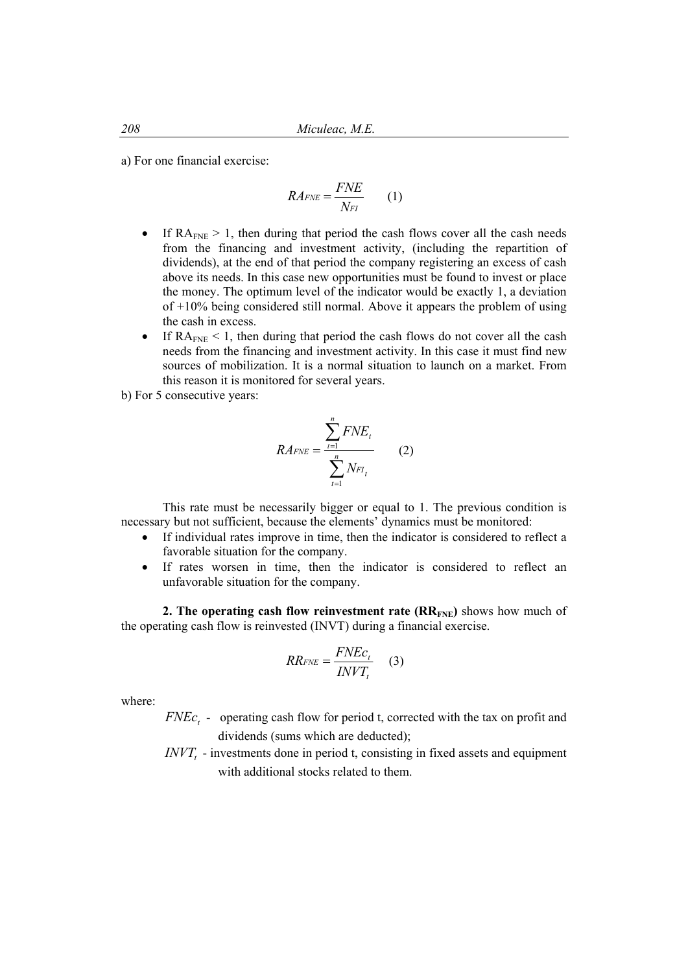a) For one financial exercise:

$$
RA_{FNE} = \frac{FNE}{N_{FI}} \qquad (1)
$$

- If  $RA_{FNE} > 1$ , then during that period the cash flows cover all the cash needs from the financing and investment activity, (including the repartition of dividends), at the end of that period the company registering an excess of cash above its needs. In this case new opportunities must be found to invest or place the money. The optimum level of the indicator would be exactly 1, a deviation of +10% being considered still normal. Above it appears the problem of using the cash in excess.
- If  $RA_{FNE}$  < 1, then during that period the cash flows do not cover all the cash needs from the financing and investment activity. In this case it must find new sources of mobilization. It is a normal situation to launch on a market. From this reason it is monitored for several years.

b) For 5 consecutive years:

$$
RA_{FNE} = \frac{\sum_{t=1}^{n} FNE_{t}}{\sum_{t=1}^{n} N_{FI_{t}}} \qquad (2)
$$

This rate must be necessarily bigger or equal to 1. The previous condition is necessary but not sufficient, because the elements' dynamics must be monitored:

- If individual rates improve in time, then the indicator is considered to reflect a favorable situation for the company.
- If rates worsen in time, then the indicator is considered to reflect an unfavorable situation for the company.

**2. The operating cash flow reinvestment rate**  $(RR_{FNE})$  **shows how much of** the operating cash flow is reinvested (INVT) during a financial exercise.

$$
RR_{FNE} = \frac{FNEc_t}{INVT_t}
$$
 (3)

where:

*FNEc*, - operating cash flow for period t, corrected with the tax on profit and dividends (sums which are deducted);

*INVT*, - investments done in period t, consisting in fixed assets and equipment with additional stocks related to them.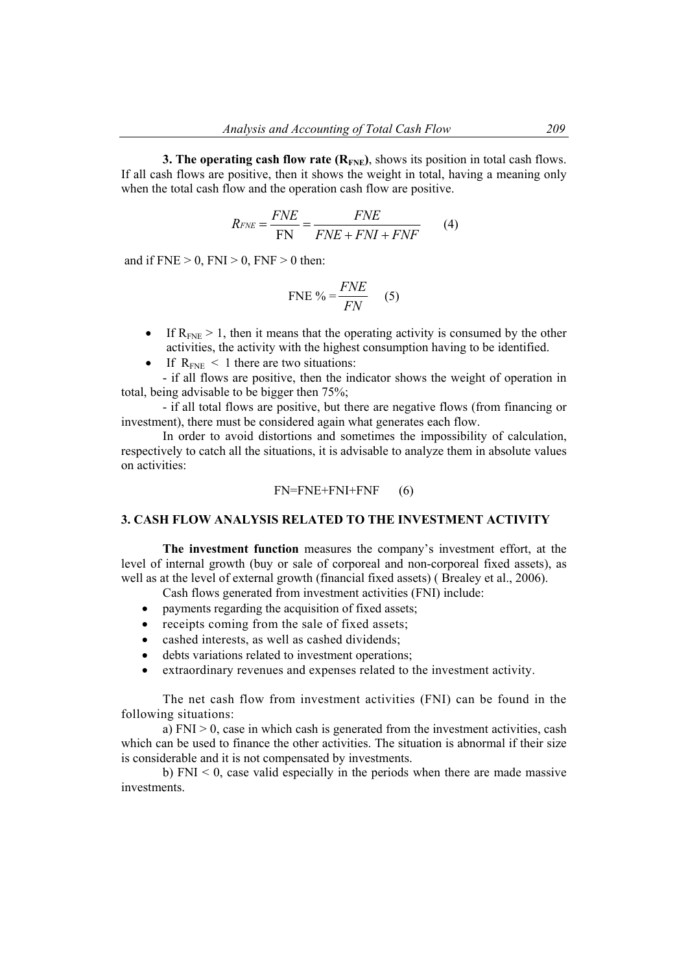**3. The operating cash flow rate**  $(R_{\text{FNE}})$ **, shows its position in total cash flows.** If all cash flows are positive, then it shows the weight in total, having a meaning only when the total cash flow and the operation cash flow are positive.

$$
R_{FNE} = \frac{FNE}{FN} = \frac{FNE}{FNE + FNI + FNF}
$$
(4)

and if  $FNE > 0$ ,  $FNI > 0$ ,  $FNF > 0$  then:

$$
\text{FNE } \% = \frac{FNE}{FN} \qquad (5)
$$

- If  $R_{FNF} > 1$ , then it means that the operating activity is consumed by the other activities, the activity with the highest consumption having to be identified.
- If  $R_{\text{FNE}}$  < 1 there are two situations:

- if all flows are positive, then the indicator shows the weight of operation in total, being advisable to be bigger then 75%;

- if all total flows are positive, but there are negative flows (from financing or investment), there must be considered again what generates each flow.

In order to avoid distortions and sometimes the impossibility of calculation, respectively to catch all the situations, it is advisable to analyze them in absolute values on activities:

$$
FN = FNE + FNI + FNF
$$
 (6)

#### **3. CASH FLOW ANALYSIS RELATED TO THE INVESTMENT ACTIVITY**

**The investment function** measures the company's investment effort, at the level of internal growth (buy or sale of corporeal and non-corporeal fixed assets), as well as at the level of external growth (financial fixed assets) ( Brealey et al., 2006).

Cash flows generated from investment activities (FNI) include:

- payments regarding the acquisition of fixed assets;
- receipts coming from the sale of fixed assets;
- cashed interests, as well as cashed dividends;
- debts variations related to investment operations;
- extraordinary revenues and expenses related to the investment activity.

The net cash flow from investment activities (FNI) can be found in the following situations:

a)  $FNI > 0$ , case in which cash is generated from the investment activities, cash which can be used to finance the other activities. The situation is abnormal if their size is considerable and it is not compensated by investments.

b)  $FNI < 0$ , case valid especially in the periods when there are made massive investments.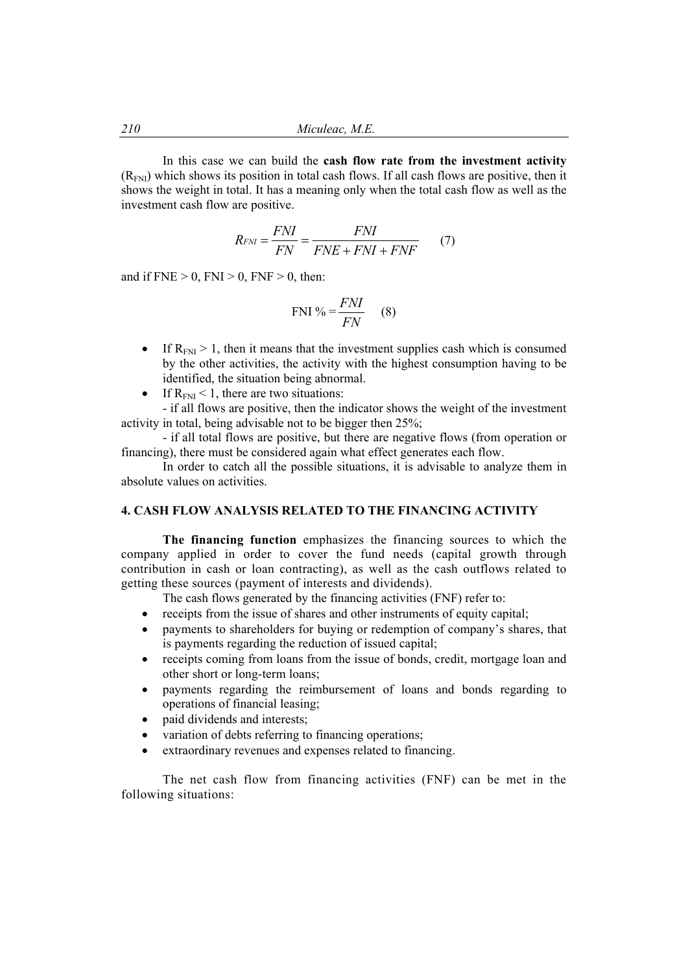In this case we can build the **cash flow rate from the investment activity**   $(R<sub>FNI</sub>)$  which shows its position in total cash flows. If all cash flows are positive, then it shows the weight in total. It has a meaning only when the total cash flow as well as the investment cash flow are positive.

$$
R_{FNI} = \frac{FNI}{FN} = \frac{FNI}{FNE + FNI + FNF}
$$
(7)

and if  $FNE > 0$ ,  $FNI > 0$ ,  $FNF > 0$ , then:

$$
\text{FNI } \% = \frac{FNI}{FN} \qquad (8)
$$

- If  $R_{\text{FNI}} > 1$ , then it means that the investment supplies cash which is consumed by the other activities, the activity with the highest consumption having to be identified, the situation being abnormal.
- If  $R_{\text{FNI}} < 1$ , there are two situations:

- if all flows are positive, then the indicator shows the weight of the investment activity in total, being advisable not to be bigger then 25%;

- if all total flows are positive, but there are negative flows (from operation or financing), there must be considered again what effect generates each flow.

In order to catch all the possible situations, it is advisable to analyze them in absolute values on activities.

#### **4. CASH FLOW ANALYSIS RELATED TO THE FINANCING ACTIVITY**

**The financing function** emphasizes the financing sources to which the company applied in order to cover the fund needs (capital growth through contribution in cash or loan contracting), as well as the cash outflows related to getting these sources (payment of interests and dividends).

The cash flows generated by the financing activities (FNF) refer to:

- receipts from the issue of shares and other instruments of equity capital;
- payments to shareholders for buying or redemption of company's shares, that is payments regarding the reduction of issued capital;
- receipts coming from loans from the issue of bonds, credit, mortgage loan and other short or long-term loans;
- payments regarding the reimbursement of loans and bonds regarding to operations of financial leasing;
- paid dividends and interests;
- variation of debts referring to financing operations;
- extraordinary revenues and expenses related to financing.

The net cash flow from financing activities (FNF) can be met in the following situations: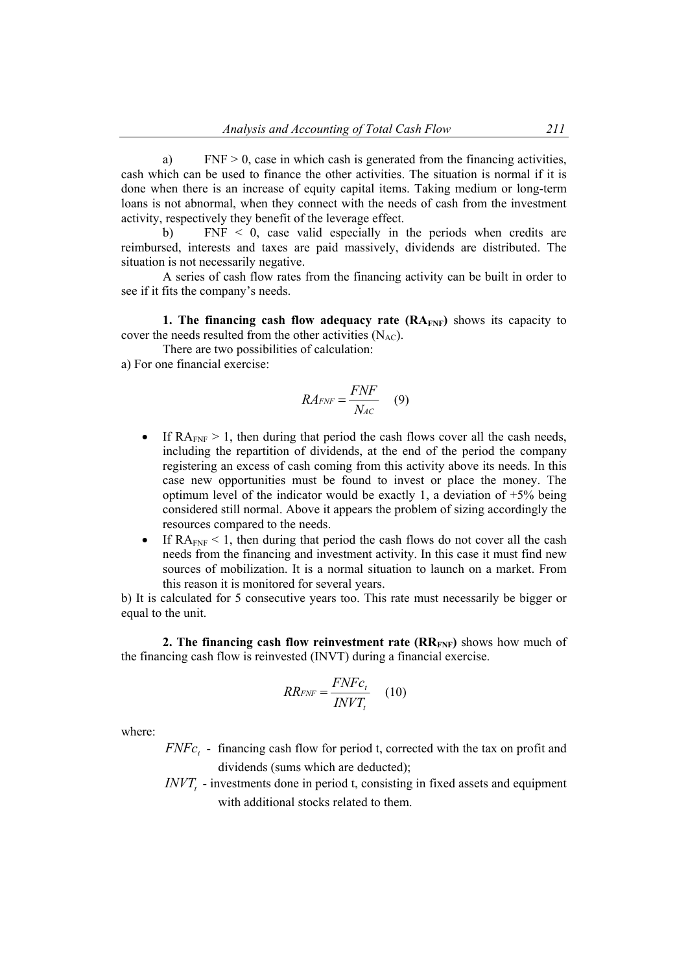a) FNF  $> 0$ , case in which cash is generated from the financing activities, cash which can be used to finance the other activities. The situation is normal if it is done when there is an increase of equity capital items. Taking medium or long-term loans is not abnormal, when they connect with the needs of cash from the investment activity, respectively they benefit of the leverage effect.

 b) FNF < 0, case valid especially in the periods when credits are reimbursed, interests and taxes are paid massively, dividends are distributed. The situation is not necessarily negative.

A series of cash flow rates from the financing activity can be built in order to see if it fits the company's needs.

**1. The financing cash flow adequacy rate (RA<sub>FNF</sub>) shows its capacity to** cover the needs resulted from the other activities  $(N_{AC})$ .

There are two possibilities of calculation:

a) For one financial exercise:

$$
RA_{FNF} = \frac{FNF}{N_{AC}} \quad (9)
$$

- If RAFNF  $> 1$ , then during that period the cash flows cover all the cash needs, including the repartition of dividends, at the end of the period the company registering an excess of cash coming from this activity above its needs. In this case new opportunities must be found to invest or place the money. The optimum level of the indicator would be exactly 1, a deviation of  $+5\%$  being considered still normal. Above it appears the problem of sizing accordingly the resources compared to the needs.
- If  $RA_{FNF}$  < 1, then during that period the cash flows do not cover all the cash needs from the financing and investment activity. In this case it must find new sources of mobilization. It is a normal situation to launch on a market. From this reason it is monitored for several years.

b) It is calculated for 5 consecutive years too. This rate must necessarily be bigger or equal to the unit.

**2. The financing cash flow reinvestment rate (RR<sub>FNF</sub>) shows how much of** the financing cash flow is reinvested (INVT) during a financial exercise.

$$
RR_{FNF} = \frac{FNFc_t}{INVT_t} \quad (10)
$$

where:

- $FNFc_t$  financing cash flow for period t, corrected with the tax on profit and dividends (sums which are deducted);
- *INVT*, investments done in period t, consisting in fixed assets and equipment with additional stocks related to them.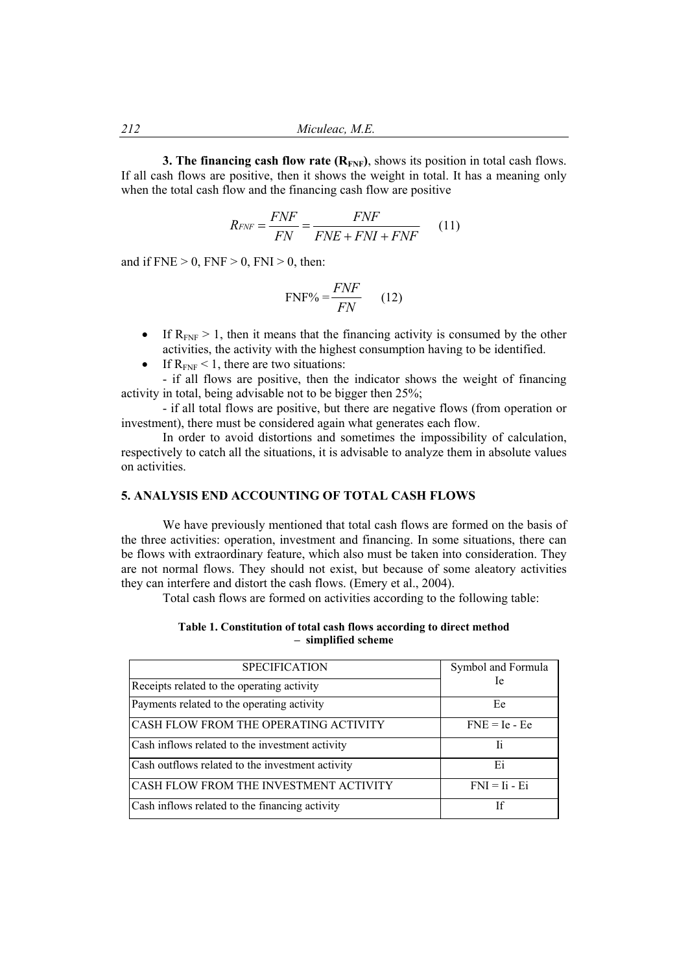**3. The financing cash flow rate (R<sub>FNF</sub>)**, shows its position in total cash flows. If all cash flows are positive, then it shows the weight in total. It has a meaning only when the total cash flow and the financing cash flow are positive

$$
R_{FNF} = \frac{FNF}{FN} = \frac{FNF}{FNE + FNI + FNF}
$$
(11)

and if  $FNE > 0$ ,  $FNF > 0$ ,  $FNI > 0$ , then:

$$
\text{FNF\%} = \frac{FNF}{FN} \qquad (12)
$$

- If  $R_{\text{FNF}} > 1$ , then it means that the financing activity is consumed by the other activities, the activity with the highest consumption having to be identified.
- If  $R_{\text{FNF}} < 1$ , there are two situations:

- if all flows are positive, then the indicator shows the weight of financing activity in total, being advisable not to be bigger then 25%;

- if all total flows are positive, but there are negative flows (from operation or investment), there must be considered again what generates each flow.

In order to avoid distortions and sometimes the impossibility of calculation, respectively to catch all the situations, it is advisable to analyze them in absolute values on activities.

#### **5. ANALYSIS END ACCOUNTING OF TOTAL CASH FLOWS**

We have previously mentioned that total cash flows are formed on the basis of the three activities: operation, investment and financing. In some situations, there can be flows with extraordinary feature, which also must be taken into consideration. They are not normal flows. They should not exist, but because of some aleatory activities they can interfere and distort the cash flows. (Emery et al., 2004).

Total cash flows are formed on activities according to the following table:

| Table 1. Constitution of total cash flows according to direct method |  |  |  |  |  |
|----------------------------------------------------------------------|--|--|--|--|--|
| - simplified scheme                                                  |  |  |  |  |  |

| <b>SPECIFICATION</b>                             | Symbol and Formula |  |  |
|--------------------------------------------------|--------------------|--|--|
| Receipts related to the operating activity       | Ie                 |  |  |
| Payments related to the operating activity       | Ee                 |  |  |
| ICASH FLOW FROM THE OPERATING ACTIVITY           | $FNE = Ie - Ee$    |  |  |
| Cash inflows related to the investment activity  | Ιi                 |  |  |
| Cash outflows related to the investment activity | Ei                 |  |  |
| ICASH FLOW FROM THE INVESTMENT ACTIVITY          | $FNI = Ii - Ei$    |  |  |
| Cash inflows related to the financing activity   | Īf                 |  |  |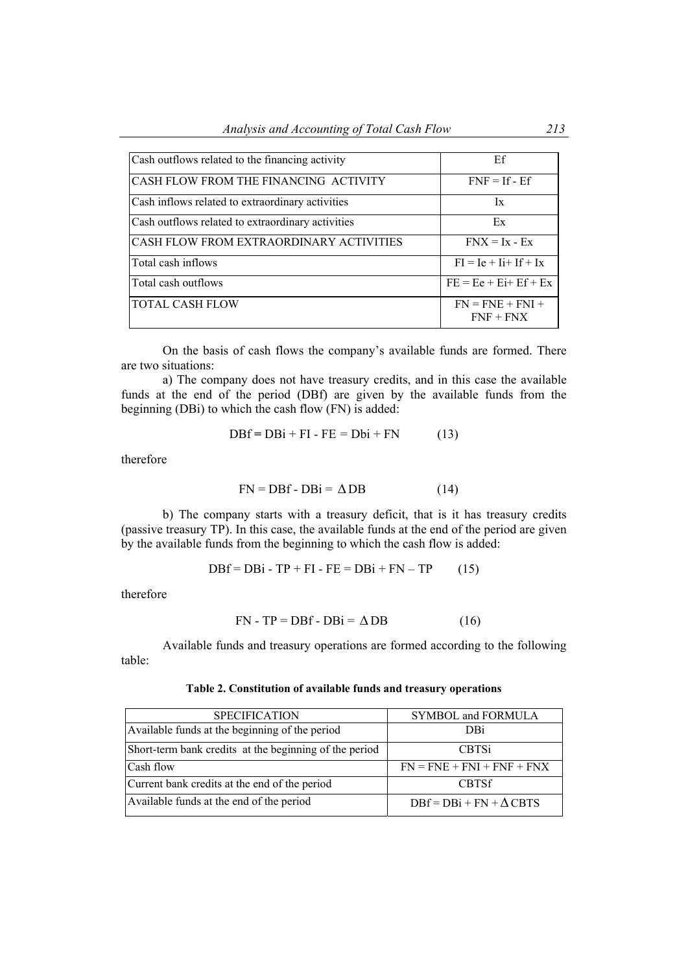| Cash outflows related to the financing activity   | Ef                                |
|---------------------------------------------------|-----------------------------------|
| CASH FLOW FROM THE FINANCING ACTIVITY             | $FNF = If -Ef$                    |
| Cash inflows related to extraordinary activities  | Ix                                |
| Cash outflows related to extraordinary activities | Ex                                |
| CASH FLOW FROM EXTRAORDINARY ACTIVITIES           | $FNX = IX - Ex$                   |
| Total cash inflows                                | $FI = Je + Ii + If + Ix$          |
| Total cash outflows                               | $FE = Ee + Ei + Ef + Ex$          |
| <b>TOTAL CASH FLOW</b>                            | $FN = FNE + FNI +$<br>$FNF + FNX$ |

On the basis of cash flows the company's available funds are formed. There are two situations:

 a) The company does not have treasury credits, and in this case the available funds at the end of the period (DBf) are given by the available funds from the beginning (DBi) to which the cash flow  $(FN)$  is added:

$$
DBf = DBi + FI - FE = Dbi + FN \tag{13}
$$

therefore

$$
FN = DBf - DBi = \Delta DB \tag{14}
$$

b) The company starts with a treasury deficit, that is it has treasury credits (passive treasury TP). In this case, the available funds at the end of the period are given by the available funds from the beginning to which the cash flow is added:

$$
DBf = DBi - TP + FI - FE = DBi + FN - TP \qquad (15)
$$

therefore

$$
FN - TP = DBf - DBi = \Delta DB \tag{16}
$$

Available funds and treasury operations are formed according to the following table:

| Table 2. Constitution of available funds and treasury operations |  |  |
|------------------------------------------------------------------|--|--|
|                                                                  |  |  |

| <b>SPECIFICATION</b>                                   | SYMBOL and FORMULA              |  |  |
|--------------------------------------------------------|---------------------------------|--|--|
| Available funds at the beginning of the period         | DBi                             |  |  |
| Short-term bank credits at the beginning of the period | <b>CBTSi</b>                    |  |  |
| Cash flow                                              | $FN = FNE + FNI + FNF + FNX$    |  |  |
| Current bank credits at the end of the period          | <b>CBTSf</b>                    |  |  |
| Available funds at the end of the period               | $DBf = DBi + FN + \Lambda CBTS$ |  |  |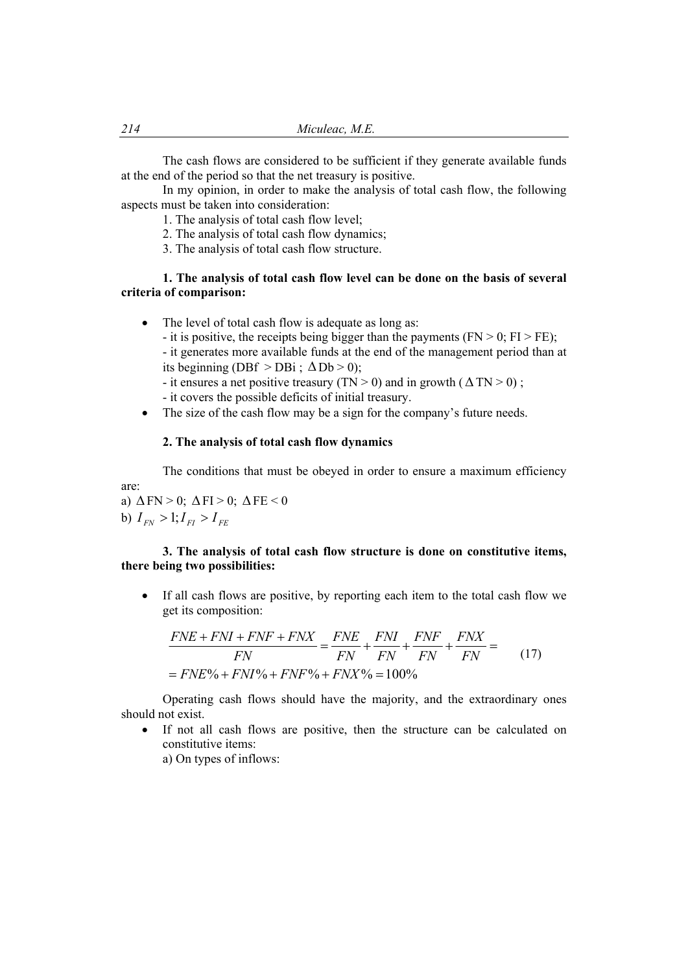The cash flows are considered to be sufficient if they generate available funds at the end of the period so that the net treasury is positive.

 In my opinion, in order to make the analysis of total cash flow, the following aspects must be taken into consideration:

1. The analysis of total cash flow level;

2. The analysis of total cash flow dynamics;

3. The analysis of total cash flow structure.

### **1. The analysis of total cash flow level can be done on the basis of several criteria of comparison:**

- The level of total cash flow is adequate as long as:
	- it is positive, the receipts being bigger than the payments ( $FN > 0$ ;  $FI > FE$ );

- it generates more available funds at the end of the management period than at its beginning (DBf > DBi ;  $\Delta \text{Db} > 0$ );

- it ensures a net positive treasury (TN > 0) and in growth ( $\Delta$ TN > 0);
- it covers the possible deficits of initial treasury.
- The size of the cash flow may be a sign for the company's future needs.

### **2. The analysis of total cash flow dynamics**

The conditions that must be obeyed in order to ensure a maximum efficiency

are: a)  $\Delta$ FN > 0;  $\Delta$ FI > 0;  $\Delta$ FE < 0 b)  $I_{FN} > 1; I_{FI} > I_{FE}$ 

## **3. The analysis of total cash flow structure is done on constitutive items, there being two possibilities:**

 If all cash flows are positive, by reporting each item to the total cash flow we get its composition:

$$
\frac{FNE + FNI + FNF + FNX}{FN} = \frac{FNE}{FN} + \frac{FNI}{FN} + \frac{FNF}{FN} + \frac{FNX}{FN} =
$$
  
= FNE% + FNI% + FNF% + FNX% = 100% (17)

 Operating cash flows should have the majority, and the extraordinary ones should not exist.

 If not all cash flows are positive, then the structure can be calculated on constitutive items:

a) On types of inflows: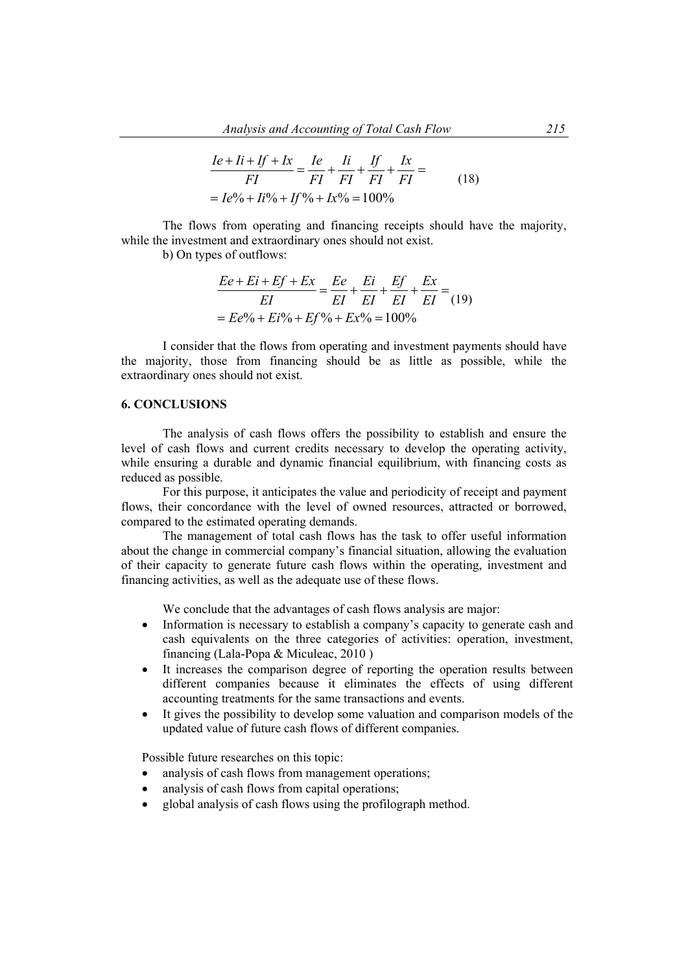$$
\frac{Ie + Ii + If + Ix}{FI} = \frac{Ie}{FI} + \frac{Ii}{FI} + \frac{If}{FI} + \frac{Ix}{FI} =
$$
  
=  $Ie\% + Ii\% + If\% + Ix\% = 100\%$  (18)

 The flows from operating and financing receipts should have the majority, while the investment and extraordinary ones should not exist.

b) On types of outflows:

$$
\frac{Ee + Ei + Ef + Ex}{EI} = \frac{Ee}{EI} + \frac{Ei}{EI} + \frac{Ef}{EI} + \frac{Ex}{EI} = (19)
$$

$$
= Ee\% + Ei\% + Ef\% + Ex\% = 100\%
$$

I consider that the flows from operating and investment payments should have the majority, those from financing should be as little as possible, while the extraordinary ones should not exist.

## **6. CONCLUSIONS**

The analysis of cash flows offers the possibility to establish and ensure the level of cash flows and current credits necessary to develop the operating activity, while ensuring a durable and dynamic financial equilibrium, with financing costs as reduced as possible.

For this purpose, it anticipates the value and periodicity of receipt and payment flows, their concordance with the level of owned resources, attracted or borrowed, compared to the estimated operating demands.

 The management of total cash flows has the task to offer useful information about the change in commercial company's financial situation, allowing the evaluation of their capacity to generate future cash flows within the operating, investment and financing activities, as well as the adequate use of these flows.

We conclude that the advantages of cash flows analysis are major:

- Information is necessary to establish a company's capacity to generate cash and cash equivalents on the three categories of activities: operation, investment, financing (Lala-Popa & Miculeac, 2010 )
- It increases the comparison degree of reporting the operation results between different companies because it eliminates the effects of using different accounting treatments for the same transactions and events.
- It gives the possibility to develop some valuation and comparison models of the updated value of future cash flows of different companies.

Possible future researches on this topic:

- analysis of cash flows from management operations;
- analysis of cash flows from capital operations;
- global analysis of cash flows using the profilograph method.